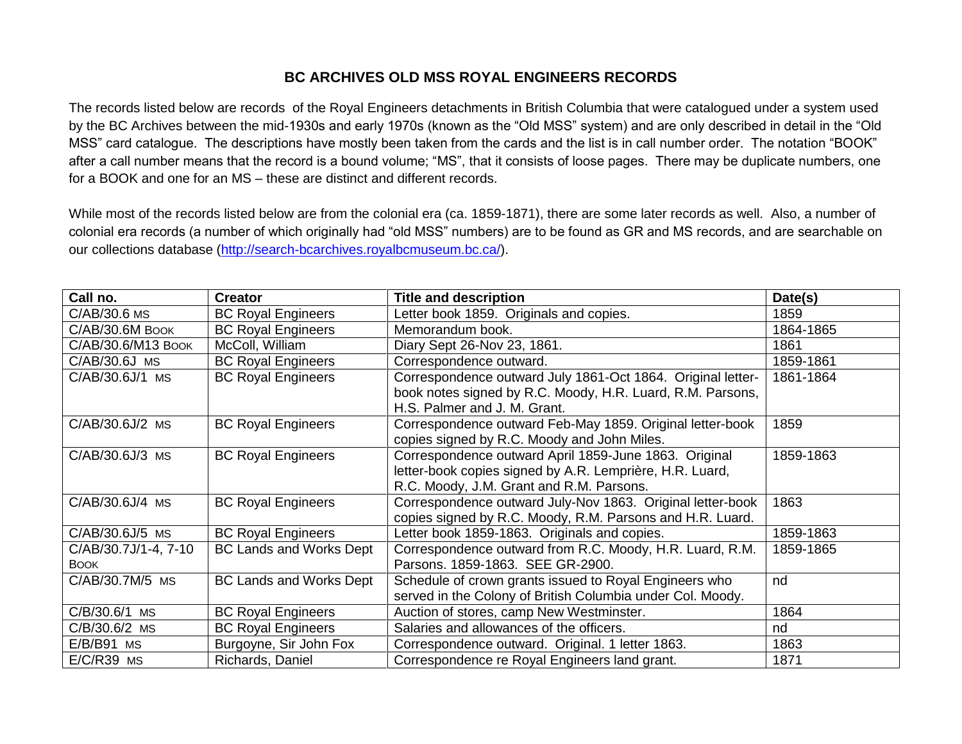## **BC ARCHIVES OLD MSS ROYAL ENGINEERS RECORDS**

The records listed below are records of the Royal Engineers detachments in British Columbia that were catalogued under a system used by the BC Archives between the mid-1930s and early 1970s (known as the "Old MSS" system) and are only described in detail in the "Old MSS" card catalogue. The descriptions have mostly been taken from the cards and the list is in call number order. The notation "BOOK" after a call number means that the record is a bound volume; "MS", that it consists of loose pages. There may be duplicate numbers, one for a BOOK and one for an MS – these are distinct and different records.

While most of the records listed below are from the colonial era (ca. 1859-1871), there are some later records as well. Also, a number of colonial era records (a number of which originally had "old MSS" numbers) are to be found as GR and MS records, and are searchable on our collections database [\(http://search-bcarchives.royalbcmuseum.bc.ca/\)](http://search-bcarchives.royalbcmuseum.bc.ca/).

| Call no.                            | <b>Creator</b>                 | <b>Title and description</b>                                                                                                                                  | Date(s)   |
|-------------------------------------|--------------------------------|---------------------------------------------------------------------------------------------------------------------------------------------------------------|-----------|
| C/AB/30.6 MS                        | <b>BC Royal Engineers</b>      | Letter book 1859. Originals and copies.                                                                                                                       | 1859      |
| C/AB/30.6M BOOK                     | <b>BC Royal Engineers</b>      | Memorandum book.                                                                                                                                              | 1864-1865 |
| C/AB/30.6/M13 Воок                  | McColl, William                | Diary Sept 26-Nov 23, 1861.                                                                                                                                   | 1861      |
| C/AB/30.6J MS                       | <b>BC Royal Engineers</b>      | Correspondence outward.                                                                                                                                       | 1859-1861 |
| C/AB/30.6J/1 MS                     | <b>BC Royal Engineers</b>      | Correspondence outward July 1861-Oct 1864. Original letter-<br>book notes signed by R.C. Moody, H.R. Luard, R.M. Parsons,<br>H.S. Palmer and J. M. Grant.     | 1861-1864 |
| C/AB/30.6J/2 MS                     | <b>BC Royal Engineers</b>      | Correspondence outward Feb-May 1859. Original letter-book<br>copies signed by R.C. Moody and John Miles.                                                      | 1859      |
| C/AB/30.6J/3 MS                     | <b>BC Royal Engineers</b>      | Correspondence outward April 1859-June 1863. Original<br>letter-book copies signed by A.R. Lemprière, H.R. Luard,<br>R.C. Moody, J.M. Grant and R.M. Parsons. | 1859-1863 |
| C/AB/30.6J/4 MS                     | <b>BC Royal Engineers</b>      | Correspondence outward July-Nov 1863. Original letter-book<br>copies signed by R.C. Moody, R.M. Parsons and H.R. Luard.                                       | 1863      |
| C/AB/30.6J/5 MS                     | <b>BC Royal Engineers</b>      | Letter book 1859-1863. Originals and copies.                                                                                                                  | 1859-1863 |
| C/AB/30.7J/1-4, 7-10<br><b>BOOK</b> | <b>BC Lands and Works Dept</b> | Correspondence outward from R.C. Moody, H.R. Luard, R.M.<br>Parsons, 1859-1863. SEE GR-2900.                                                                  | 1859-1865 |
| C/AB/30.7M/5 MS                     | <b>BC Lands and Works Dept</b> | Schedule of crown grants issued to Royal Engineers who<br>served in the Colony of British Columbia under Col. Moody.                                          | nd        |
| C/B/30.6/1 MS                       | <b>BC Royal Engineers</b>      | Auction of stores, camp New Westminster.                                                                                                                      | 1864      |
| C/B/30.6/2 MS                       | <b>BC Royal Engineers</b>      | Salaries and allowances of the officers.                                                                                                                      | nd        |
| $E/B/B91$ MS                        | Burgoyne, Sir John Fox         | Correspondence outward. Original. 1 letter 1863.                                                                                                              | 1863      |
| $E/C/R39$ MS                        | Richards, Daniel               | Correspondence re Royal Engineers land grant.                                                                                                                 | 1871      |